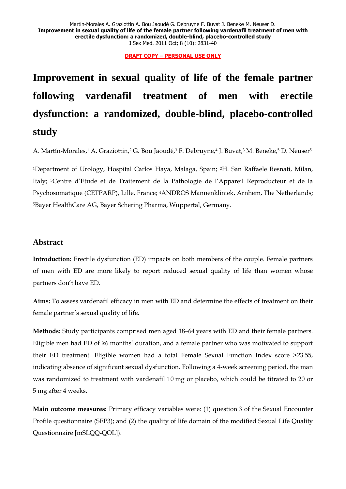Martín-Morales A. Graziottin A. Bou Jaoudé G. Debruyne F. Buvat J. Beneke M. Neuser D. **Improvement in sexual quality of life of the female partner following vardenafil treatment of men with erectile dysfunction: a randomized, double-blind, placebo-controlled study** J Sex Med. 2011 Oct; 8 (10): 2831-40

**DRAFT COPY – PERSONAL USE ONLY**

**Improvement in sexual quality of life of the female partner following vardenafil treatment of men with erectile dysfunction: a randomized, double-blind, placebo-controlled study**

A. Martín-Morales,1 A. Graziottin,2 G. Bou Jaoudé,3 F. Debruyne,4 J. Buvat,3 M. Beneke,5 D. Neuser5

<sup>1</sup>Department of Urology, Hospital Carlos Haya, Malaga, Spain; <sup>2</sup>H. San Raffaele Resnati, Milan, Italy; <sup>3</sup>Centre d'Etude et de Traitement de la Pathologie de l'Appareil Reproducteur et de la Psychosomatique (CETPARP), Lille, France; 4ANDROS Mannenkliniek, Arnhem, The Netherlands; <sup>5</sup>Bayer HealthCare AG, Bayer Schering Pharma, Wuppertal, Germany.

## **Abstract**

**Introduction:** Erectile dysfunction (ED) impacts on both members of the couple. Female partners of men with ED are more likely to report reduced sexual quality of life than women whose partners don't have ED.

**Aims:** To assess vardenafil efficacy in men with ED and determine the effects of treatment on their female partner's sexual quality of life.

**Methods:** Study participants comprised men aged 18–64 years with ED and their female partners. Eligible men had ED of ≥6 months' duration, and a female partner who was motivated to support their ED treatment. Eligible women had a total Female Sexual Function Index score >23.55, indicating absence of significant sexual dysfunction. Following a 4-week screening period, the man was randomized to treatment with vardenafil 10 mg or placebo, which could be titrated to 20 or 5 mg after 4 weeks.

**Main outcome measures:** Primary efficacy variables were: (1) question 3 of the Sexual Encounter Profile questionnaire (SEP3); and (2) the quality of life domain of the modified Sexual Life Quality Questionnaire [mSLQQ-QOL]).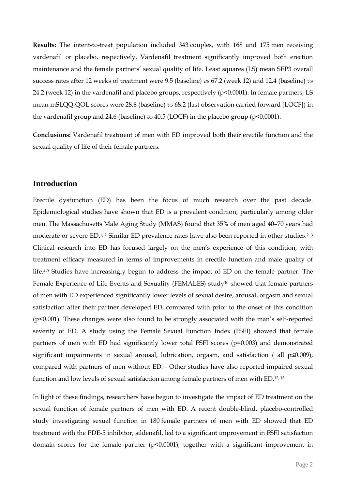**Results:** The intent-to-treat population included 343 couples, with 168 and 175 men receiving vardenafil or placebo, respectively. Vardenafil treatment significantly improved both erection maintenance and the female partners' sexual quality of life. Least squares (LS) mean SEP3 overall success rates after 12 weeks of treatment were 9.5 (baseline) *vs* 67.2 (week 12) and 12.4 (baseline) *vs*  24.2 (week 12) in the vardenafil and placebo groups, respectively (p<0.0001). In female partners, LS mean mSLQQ-QOL scores were 28.8 (baseline) *vs* 68.2 (last observation carried forward [LOCF]) in the vardenafil group and 24.6 (baseline) *vs* 40.5 (LOCF) in the placebo group (p<0.0001).

**Conclusions:** Vardenafil treatment of men with ED improved both their erectile function and the sexual quality of life of their female partners.

# **Introduction**

Erectile dysfunction (ED) has been the focus of much research over the past decade. Epidemiological studies have shown that ED is a prevalent condition, particularly among older men. The Massachusetts Male Aging Study (MMAS) found that 35% of men aged 40–70 years had moderate or severe ED.<sup>1, 2</sup> Similar ED prevalence rates have also been reported in other studies.<sup>2, 3</sup> Clinical research into ED has focused largely on the men's experience of this condition, with treatment efficacy measured in terms of improvements in erectile function and male quality of life. 4-9 Studies have increasingly begun to address the impact of ED on the female partner. The Female Experience of Life Events and Sexuality (FEMALES) study<sup>10</sup> showed that female partners of men with ED experienced significantly lower levels of sexual desire, arousal, orgasm and sexual satisfaction after their partner developed ED, compared with prior to the onset of this condition (p<0.001). These changes were also found to be strongly associated with the man's self-reported severity of ED. A study using the Female Sexual Function Index (FSFI) showed that female partners of men with ED had significantly lower total FSFI scores (p=0.003) and demonstrated significant impairments in sexual arousal, lubrication, orgasm, and satisfaction ( all p≤0.009), compared with partners of men without ED. <sup>11</sup> Other studies have also reported impaired sexual function and low levels of sexual satisfaction among female partners of men with ED. 12, 13

In light of these findings, researchers have begun to investigate the impact of ED treatment on the sexual function of female partners of men with ED. A recent double-blind, placebo-controlled study investigating sexual function in 180 female partners of men with ED showed that ED treatment with the PDE-5 inhibitor, sildenafil, led to a significant improvement in FSFI satisfaction domain scores for the female partner (p<0.0001), together with a significant improvement in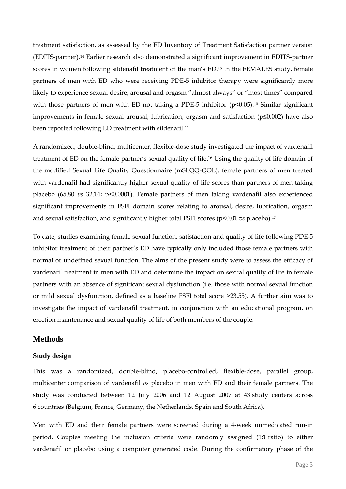treatment satisfaction, as assessed by the ED Inventory of Treatment Satisfaction partner version (EDITS-partner).<sup>14</sup> Earlier research also demonstrated a significant improvement in EDITS-partner scores in women following sildenafil treatment of the man's ED. <sup>15</sup> In the FEMALES study, female partners of men with ED who were receiving PDE-5 inhibitor therapy were significantly more likely to experience sexual desire, arousal and orgasm "almost always" or "most times" compared with those partners of men with ED not taking a PDE-5 inhibitor (p<0.05). <sup>10</sup> Similar significant improvements in female sexual arousal, lubrication, orgasm and satisfaction (p≤0.002) have also been reported following ED treatment with sildenafil. 11

A randomized, double-blind, multicenter, flexible-dose study investigated the impact of vardenafil treatment of ED on the female partner's sexual quality of life. <sup>16</sup> Using the quality of life domain of the modified Sexual Life Quality Questionnaire (mSLQQ-QOL), female partners of men treated with vardenafil had significantly higher sexual quality of life scores than partners of men taking placebo (65.80 *vs* 32.14; p<0.0001). Female partners of men taking vardenafil also experienced significant improvements in FSFI domain scores relating to arousal, desire, lubrication, orgasm and sexual satisfaction, and significantly higher total FSFI scores (p<0.01 *vs* placebo). 17

To date, studies examining female sexual function, satisfaction and quality of life following PDE-5 inhibitor treatment of their partner's ED have typically only included those female partners with normal or undefined sexual function. The aims of the present study were to assess the efficacy of vardenafil treatment in men with ED and determine the impact on sexual quality of life in female partners with an absence of significant sexual dysfunction (i.e. those with normal sexual function or mild sexual dysfunction, defined as a baseline FSFI total score >23.55). A further aim was to investigate the impact of vardenafil treatment, in conjunction with an educational program, on erection maintenance and sexual quality of life of both members of the couple.

# **Methods**

## **Study design**

This was a randomized, double-blind, placebo-controlled, flexible-dose, parallel group, multicenter comparison of vardenafil *vs* placebo in men with ED and their female partners. The study was conducted between 12 July 2006 and 12 August 2007 at 43 study centers across 6 countries (Belgium, France, Germany, the Netherlands, Spain and South Africa).

Men with ED and their female partners were screened during a 4-week unmedicated run-in period. Couples meeting the inclusion criteria were randomly assigned (1:1 ratio) to either vardenafil or placebo using a computer generated code. During the confirmatory phase of the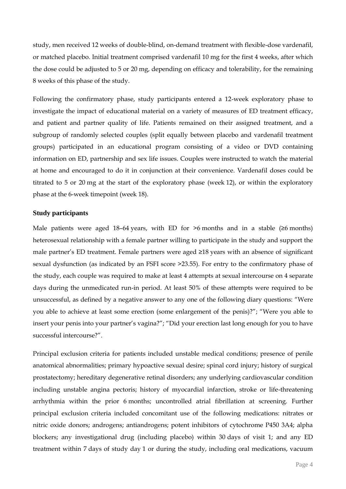study, men received 12 weeks of double-blind, on-demand treatment with flexible-dose vardenafil, or matched placebo. Initial treatment comprised vardenafil 10 mg for the first 4 weeks, after which the dose could be adjusted to 5 or 20 mg, depending on efficacy and tolerability, for the remaining 8 weeks of this phase of the study.

Following the confirmatory phase, study participants entered a 12-week exploratory phase to investigate the impact of educational material on a variety of measures of ED treatment efficacy, and patient and partner quality of life. Patients remained on their assigned treatment, and a subgroup of randomly selected couples (split equally between placebo and vardenafil treatment groups) participated in an educational program consisting of a video or DVD containing information on ED, partnership and sex life issues. Couples were instructed to watch the material at home and encouraged to do it in conjunction at their convenience. Vardenafil doses could be titrated to 5 or 20 mg at the start of the exploratory phase (week 12), or within the exploratory phase at the 6-week timepoint (week 18).

## **Study participants**

Male patients were aged 18–64 years, with ED for  $\geq$ 6 months and in a stable ( $\geq$ 6 months) heterosexual relationship with a female partner willing to participate in the study and support the male partner's ED treatment. Female partners were aged ≥18 years with an absence of significant sexual dysfunction (as indicated by an FSFI score >23.55). For entry to the confirmatory phase of the study, each couple was required to make at least 4 attempts at sexual intercourse on 4 separate days during the unmedicated run-in period. At least 50% of these attempts were required to be unsuccessful, as defined by a negative answer to any one of the following diary questions: "Were you able to achieve at least some erection (some enlargement of the penis)?"; "Were you able to insert your penis into your partner's vagina?"; "Did your erection last long enough for you to have successful intercourse?".

Principal exclusion criteria for patients included unstable medical conditions; presence of penile anatomical abnormalities; primary hypoactive sexual desire; spinal cord injury; history of surgical prostatectomy; hereditary degenerative retinal disorders; any underlying cardiovascular condition including unstable angina pectoris; history of myocardial infarction, stroke or life-threatening arrhythmia within the prior 6 months; uncontrolled atrial fibrillation at screening. Further principal exclusion criteria included concomitant use of the following medications: nitrates or nitric oxide donors; androgens; antiandrogens; potent inhibitors of cytochrome P450 3A4; alpha blockers; any investigational drug (including placebo) within 30 days of visit 1; and any ED treatment within 7 days of study day 1 or during the study, including oral medications, vacuum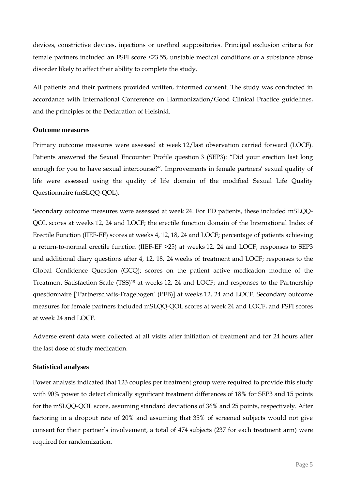devices, constrictive devices, injections or urethral suppositories. Principal exclusion criteria for female partners included an FSFI score 23.55, unstable medical conditions or a substance abuse disorder likely to affect their ability to complete the study.

All patients and their partners provided written, informed consent. The study was conducted in accordance with International Conference on Harmonization/Good Clinical Practice guidelines, and the principles of the Declaration of Helsinki.

## **Outcome measures**

Primary outcome measures were assessed at week 12/last observation carried forward (LOCF). Patients answered the Sexual Encounter Profile question 3 (SEP3): "Did your erection last long enough for you to have sexual intercourse?". Improvements in female partners' sexual quality of life were assessed using the quality of life domain of the modified Sexual Life Quality Questionnaire (mSLQQ-QOL).

Secondary outcome measures were assessed at week 24. For ED patients, these included mSLQQ-QOL scores at weeks 12, 24 and LOCF; the erectile function domain of the International Index of Erectile Function (IIEF-EF) scores at weeks 4, 12, 18, 24 and LOCF; percentage of patients achieving a return-to-normal erectile function (IIEF-EF >25) at weeks 12, 24 and LOCF; responses to SEP3 and additional diary questions after 4, 12, 18, 24 weeks of treatment and LOCF; responses to the Global Confidence Question (GCQ); scores on the patient active medication module of the Treatment Satisfaction Scale (TSS)<sup>18</sup> at weeks 12, 24 and LOCF; and responses to the Partnership questionnaire ['Partnerschafts-Fragebogen' (PFB)] at weeks 12, 24 and LOCF. Secondary outcome measures for female partners included mSLQQ-QOL scores at week 24 and LOCF, and FSFI scores at week 24 and LOCF.

Adverse event data were collected at all visits after initiation of treatment and for 24 hours after the last dose of study medication.

## **Statistical analyses**

Power analysis indicated that 123 couples per treatment group were required to provide this study with 90% power to detect clinically significant treatment differences of 18% for SEP3 and 15 points for the mSLQQ-QOL score, assuming standard deviations of 36% and 25 points, respectively. After factoring in a dropout rate of 20% and assuming that 35% of screened subjects would not give consent for their partner's involvement, a total of 474 subjects (237 for each treatment arm) were required for randomization.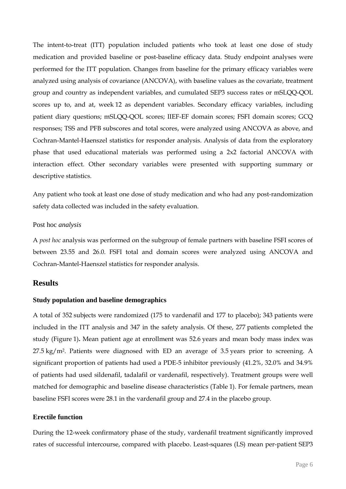The intent-to-treat (ITT) population included patients who took at least one dose of study medication and provided baseline or post-baseline efficacy data. Study endpoint analyses were performed for the ITT population. Changes from baseline for the primary efficacy variables were analyzed using analysis of covariance (ANCOVA), with baseline values as the covariate, treatment group and country as independent variables, and cumulated SEP3 success rates or mSLQQ-QOL scores up to, and at, week 12 as dependent variables. Secondary efficacy variables, including patient diary questions; mSLQQ-QOL scores; IIEF-EF domain scores; FSFI domain scores; GCQ responses; TSS and PFB subscores and total scores, were analyzed using ANCOVA as above, and Cochran-Mantel-Haenszel statistics for responder analysis. Analysis of data from the exploratory phase that used educational materials was performed using a 2x2 factorial ANCOVA with interaction effect. Other secondary variables were presented with supporting summary or descriptive statistics.

Any patient who took at least one dose of study medication and who had any post-randomization safety data collected was included in the safety evaluation.

### Post hoc *analysis*

A *post hoc* analysis was performed on the subgroup of female partners with baseline FSFI scores of between 23.55 and 26.0. FSFI total and domain scores were analyzed using ANCOVA and Cochran-Mantel-Haenszel statistics for responder analysis.

# **Results**

#### **Study population and baseline demographics**

A total of 352 subjects were randomized (175 to vardenafil and 177 to placebo); 343 patients were included in the ITT analysis and 347 in the safety analysis. Of these, 277 patients completed the study (Figure 1)**.** Mean patient age at enrollment was 52.6 years and mean body mass index was 27.5 kg/m2. Patients were diagnosed with ED an average of 3.5 years prior to screening. A significant proportion of patients had used a PDE-5 inhibitor previously (41.2%, 32.0% and 34.9% of patients had used sildenafil, tadalafil or vardenafil, respectively). Treatment groups were well matched for demographic and baseline disease characteristics (Table 1). For female partners, mean baseline FSFI scores were 28.1 in the vardenafil group and 27.4 in the placebo group.

## **Erectile function**

During the 12-week confirmatory phase of the study, vardenafil treatment significantly improved rates of successful intercourse, compared with placebo. Least-squares (LS) mean per-patient SEP3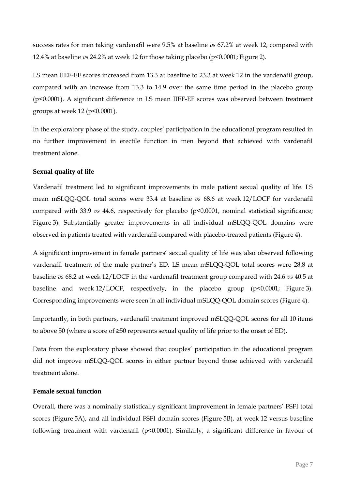success rates for men taking vardenafil were 9.5% at baseline *vs* 67.2% at week 12, compared with 12.4% at baseline *vs* 24.2% at week 12 for those taking placebo (p<0.0001; Figure 2).

LS mean IIEF-EF scores increased from 13.3 at baseline to 23.3 at week 12 in the vardenafil group, compared with an increase from 13.3 to 14.9 over the same time period in the placebo group (p<0.0001). A significant difference in LS mean IIEF-EF scores was observed between treatment groups at week 12 (p<0.0001).

In the exploratory phase of the study, couples' participation in the educational program resulted in no further improvement in erectile function in men beyond that achieved with vardenafil treatment alone.

## **Sexual quality of life**

Vardenafil treatment led to significant improvements in male patient sexual quality of life. LS mean mSLQQ-QOL total scores were 33.4 at baseline *vs* 68.6 at week 12/LOCF for vardenafil compared with 33.9 *vs* 44.6, respectively for placebo (p<0.0001, nominal statistical significance; Figure 3). Substantially greater improvements in all individual mSLQQ-QOL domains were observed in patients treated with vardenafil compared with placebo-treated patients (Figure 4).

A significant improvement in female partners' sexual quality of life was also observed following vardenafil treatment of the male partner's ED. LS mean mSLQQ-QOL total scores were 28.8 at baseline *vs* 68.2 at week 12/LOCF in the vardenafil treatment group compared with 24.6 *vs* 40.5 at baseline and week 12/LOCF, respectively, in the placebo group (p<0.0001; Figure 3). Corresponding improvements were seen in all individual mSLQQ-QOL domain scores (Figure 4).

Importantly, in both partners, vardenafil treatment improved mSLQQ-QOL scores for all 10 items to above 50 (where a score of ≥50 represents sexual quality of life prior to the onset of ED).

Data from the exploratory phase showed that couples' participation in the educational program did not improve mSLQQ-QOL scores in either partner beyond those achieved with vardenafil treatment alone.

### **Female sexual function**

Overall, there was a nominally statistically significant improvement in female partners' FSFI total scores (Figure 5A), and all individual FSFI domain scores (Figure 5B), at week 12 versus baseline following treatment with vardenafil (p<0.0001). Similarly, a significant difference in favour of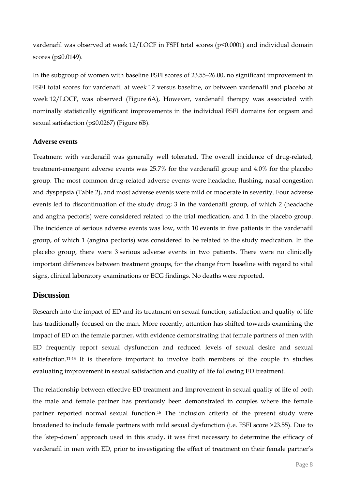vardenafil was observed at week 12/LOCF in FSFI total scores (p<0.0001) and individual domain scores (p≤0.0149).

In the subgroup of women with baseline FSFI scores of 23.55–26.00, no significant improvement in FSFI total scores for vardenafil at week 12 versus baseline, or between vardenafil and placebo at week 12/LOCF, was observed (Figure 6A), However, vardenafil therapy was associated with nominally statistically significant improvements in the individual FSFI domains for orgasm and sexual satisfaction (p≤0.0267) (Figure 6B).

## **Adverse events**

Treatment with vardenafil was generally well tolerated. The overall incidence of drug-related, treatment-emergent adverse events was 25.7% for the vardenafil group and 4.0% for the placebo group. The most common drug-related adverse events were headache, flushing, nasal congestion and dyspepsia (Table 2), and most adverse events were mild or moderate in severity. Four adverse events led to discontinuation of the study drug; 3 in the vardenafil group, of which 2 (headache and angina pectoris) were considered related to the trial medication, and 1 in the placebo group. The incidence of serious adverse events was low, with 10 events in five patients in the vardenafil group, of which 1 (angina pectoris) was considered to be related to the study medication. In the placebo group, there were 3 serious adverse events in two patients. There were no clinically important differences between treatment groups, for the change from baseline with regard to vital signs, clinical laboratory examinations or ECG findings. No deaths were reported.

# **Discussion**

Research into the impact of ED and its treatment on sexual function, satisfaction and quality of life has traditionally focused on the man. More recently, attention has shifted towards examining the impact of ED on the female partner, with evidence demonstrating that female partners of men with ED frequently report sexual dysfunction and reduced levels of sexual desire and sexual satisfaction. 11-13 It is therefore important to involve both members of the couple in studies evaluating improvement in sexual satisfaction and quality of life following ED treatment.

The relationship between effective ED treatment and improvement in sexual quality of life of both the male and female partner has previously been demonstrated in couples where the female partner reported normal sexual function. <sup>16</sup> The inclusion criteria of the present study were broadened to include female partners with mild sexual dysfunction (i.e. FSFI score >23.55). Due to the 'step-down' approach used in this study, it was first necessary to determine the efficacy of vardenafil in men with ED, prior to investigating the effect of treatment on their female partner's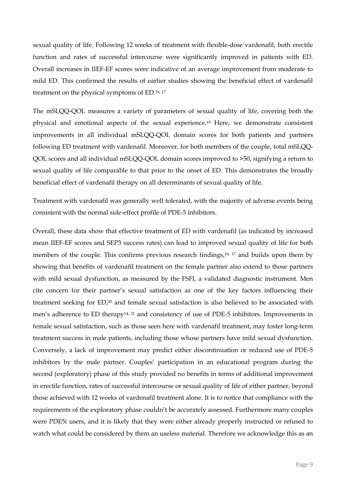sexual quality of life. Following 12 weeks of treatment with flexible-dose vardenafil, both erectile function and rates of successful intercourse were significantly improved in patients with ED. Overall increases in IIEF-EF scores were indicative of an average improvement from moderate to mild ED. This confirmed the results of earlier studies showing the beneficial effect of vardenafil treatment on the physical symptoms of ED. 16, 17

The mSLQQ-QOL measures a variety of parameters of sexual quality of life, covering both the physical and emotional aspects of the sexual experience. <sup>19</sup> Here, we demonstrate consistent improvements in all individual mSLQQ-QOL domain scores for both patients and partners following ED treatment with vardenafil. Moreover, for both members of the couple, total mSLQQ-QOL scores and all individual mSLQQ-QOL domain scores improved to >50, signifying a return to sexual quality of life comparable to that prior to the onset of ED. This demonstrates the broadly beneficial effect of vardenafil therapy on all determinants of sexual quality of life.

Treatment with vardenafil was generally well tolerated, with the majority of adverse events being consistent with the normal side-effect profile of PDE-5 inhibitors.

Overall, these data show that effective treatment of ED with vardenafil (as indicated by increased mean IIEF-EF scores and SEP3 success rates) can lead to improved sexual quality of life for both members of the couple. This confirms previous research findings, 16, 17 and builds upon them by showing that benefits of vardenafil treatment on the female partner also extend to those partners with mild sexual dysfunction, as measured by the FSFI, a validated diagnostic instrument. Men cite concern for their partner's sexual satisfaction as one of the key factors influencing their treatment seeking for ED, <sup>20</sup> and female sexual satisfaction is also believed to be associated with men's adherence to ED therapy<sup>14, 21</sup> and consistency of use of PDE-5 inhibitors. Improvements in female sexual satisfaction, such as those seen here with vardenafil treatment, may foster long-term treatment success in male patients, including those whose partners have mild sexual dysfunction. Conversely, a lack of improvement may predict either discontinuation or reduced use of PDE-5 inhibitors by the male partner. Couples' participation in an educational program during the second (exploratory) phase of this study provided no benefits in terms of additional improvement in erectile function, rates of successful intercourse or sexual quality of life of either partner, beyond those achieved with 12 weeks of vardenafil treatment alone. It is to notice that compliance with the requirements of the exploratory phase couldn't be accurately assessed. Furthermore many couples were PDE5i users, and it is likely that they were either already properly instructed or refused to watch what could be considered by them an useless material. Therefore we acknowledge this as an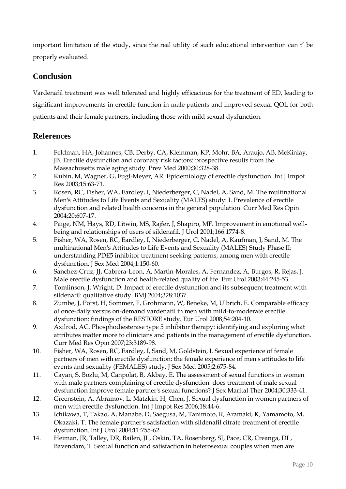important limitation of the study, since the real utility of such educational intervention can t' be properly evaluated.

# **Conclusion**

Vardenafil treatment was well tolerated and highly efficacious for the treatment of ED, leading to significant improvements in erectile function in male patients and improved sexual QOL for both patients and their female partners, including those with mild sexual dysfunction.

# **References**

- 1. Feldman, HA, Johannes, CB, Derby, CA, Kleinman, KP, Mohr, BA, Araujo, AB, McKinlay, JB. Erectile dysfunction and coronary risk factors: prospective results from the Massachusetts male aging study. Prev Med 2000;30:328-38.
- 2. Kubin, M, Wagner, G, Fugl-Meyer, AR. Epidemiology of erectile dysfunction. Int J Impot Res 2003;15:63-71.
- 3. Rosen, RC, Fisher, WA, Eardley, I, Niederberger, C, Nadel, A, Sand, M. The multinational Men's Attitudes to Life Events and Sexuality (MALES) study: I. Prevalence of erectile dysfunction and related health concerns in the general population. Curr Med Res Opin 2004;20:607-17.
- 4. Paige, NM, Hays, RD, Litwin, MS, Rajfer, J, Shapiro, MF. Improvement in emotional wellbeing and relationships of users of sildenafil. J Urol 2001;166:1774-8.
- 5. Fisher, WA, Rosen, RC, Eardley, I, Niederberger, C, Nadel, A, Kaufman, J, Sand, M. The multinational Men's Attitudes to Life Events and Sexuality (MALES) Study Phase II: understanding PDE5 inhibitor treatment seeking patterns, among men with erectile dysfunction. J Sex Med 2004;1:150-60.
- 6. Sanchez-Cruz, JJ, Cabrera-Leon, A, Martin-Morales, A, Fernandez, A, Burgos, R, Rejas, J. Male erectile dysfunction and health-related quality of life. Eur Urol 2003;44:245-53.
- 7. Tomlinson, J, Wright, D. Impact of erectile dysfunction and its subsequent treatment with sildenafil: qualitative study. BMJ 2004;328:1037.
- 8. Zumbe, J, Porst, H, Sommer, F, Grohmann, W, Beneke, M, Ulbrich, E. Comparable efficacy of once-daily versus on-demand vardenafil in men with mild-to-moderate erectile dysfunction: findings of the RESTORE study. Eur Urol 2008;54:204-10.
- 9. Axilrod, AC. Phosphodiesterase type 5 inhibitor therapy: identifying and exploring what attributes matter more to clinicians and patients in the management of erectile dysfunction. Curr Med Res Opin 2007;23:3189-98.
- 10. Fisher, WA, Rosen, RC, Eardley, I, Sand, M, Goldstein, I. Sexual experience of female partners of men with erectile dysfunction: the female experience of men's attitudes to life events and sexuality (FEMALES) study. J Sex Med 2005;2:675-84.
- 11. Cayan, S, Bozlu, M, Canpolat, B, Akbay, E. The assessment of sexual functions in women with male partners complaining of erectile dysfunction: does treatment of male sexual dysfunction improve female partner's sexual functions? J Sex Marital Ther 2004;30:333-41.
- 12. Greenstein, A, Abramov, L, Matzkin, H, Chen, J. Sexual dysfunction in women partners of men with erectile dysfunction. Int J Impot Res 2006;18:44-6.
- 13. Ichikawa, T, Takao, A, Manabe, D, Saegusa, M, Tanimoto, R, Aramaki, K, Yamamoto, M, Okazaki, T. The female partner's satisfaction with sildenafil citrate treatment of erectile dysfunction. Int J Urol 2004;11:755-62.
- 14. Heiman, JR, Talley, DR, Bailen, JL, Oskin, TA, Rosenberg, SJ, Pace, CR, Creanga, DL, Bavendam, T. Sexual function and satisfaction in heterosexual couples when men are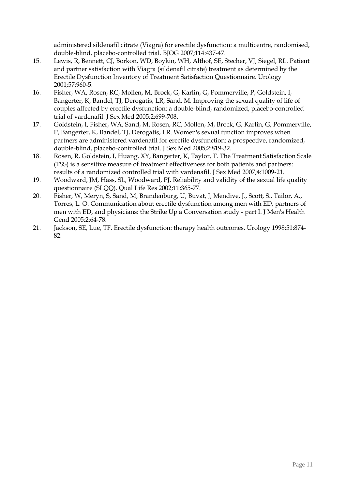administered sildenafil citrate (Viagra) for erectile dysfunction: a multicentre, randomised, double-blind, placebo-controlled trial. BJOG 2007;114:437-47.

- 15. Lewis, R, Bennett, CJ, Borkon, WD, Boykin, WH, Althof, SE, Stecher, VJ, Siegel, RL. Patient and partner satisfaction with Viagra (sildenafil citrate) treatment as determined by the Erectile Dysfunction Inventory of Treatment Satisfaction Questionnaire. Urology 2001;57:960-5.
- 16. Fisher, WA, Rosen, RC, Mollen, M, Brock, G, Karlin, G, Pommerville, P, Goldstein, I, Bangerter, K, Bandel, TJ, Derogatis, LR, Sand, M. Improving the sexual quality of life of couples affected by erectile dysfunction: a double-blind, randomized, placebo-controlled trial of vardenafil. J Sex Med 2005;2:699-708.
- 17. Goldstein, I, Fisher, WA, Sand, M, Rosen, RC, Mollen, M, Brock, G, Karlin, G, Pommerville, P, Bangerter, K, Bandel, TJ, Derogatis, LR. Women's sexual function improves when partners are administered vardenafil for erectile dysfunction: a prospective, randomized, double-blind, placebo-controlled trial. J Sex Med 2005;2:819-32.
- 18. Rosen, R, Goldstein, I, Huang, XY, Bangerter, K, Taylor, T. The Treatment Satisfaction Scale (TSS) is a sensitive measure of treatment effectiveness for both patients and partners: results of a randomized controlled trial with vardenafil. J Sex Med 2007;4:1009-21.
- 19. Woodward, JM, Hass, SL, Woodward, PJ. Reliability and validity of the sexual life quality questionnaire (SLQQ). Qual Life Res 2002;11:365-77.
- 20. Fisher, W, Meryn, S, Sand, M, Brandenburg, U, Buvat, J, Mendive, J., Scott, S., Tailor, A., Torres, L. O. Communication about erectile dysfunction among men with ED, partners of men with ED, and physicians: the Strike Up a Conversation study - part I. J Men's Health Gend 2005;2:64-78.
- 21. Jackson, SE, Lue, TF. Erectile dysfunction: therapy health outcomes. Urology 1998;51:874- 82.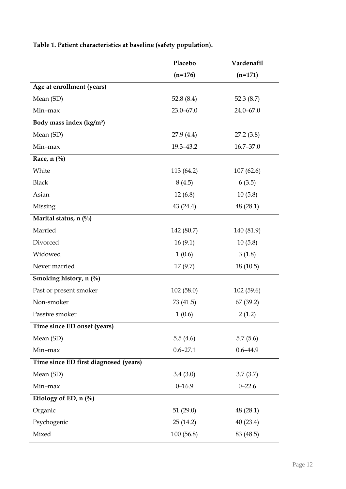|                                       | Placebo       | Vardenafil    |
|---------------------------------------|---------------|---------------|
|                                       | $(n=176)$     | $(n=171)$     |
| Age at enrollment (years)             |               |               |
| Mean (SD)                             | 52.8 $(8.4)$  | 52.3 $(8.7)$  |
| Min-max                               | $23.0 - 67.0$ | $24.0 - 67.0$ |
| Body mass index (kg/m <sup>2</sup> )  |               |               |
| Mean (SD)                             | 27.9 (4.4)    | 27.2(3.8)     |
| Min-max                               | 19.3-43.2     | 16.7-37.0     |
| Race, $n$ (%)                         |               |               |
| White                                 | 113 (64.2)    | 107(62.6)     |
| <b>Black</b>                          | 8(4.5)        | 6(3.5)        |
| Asian                                 | 12(6.8)       | 10(5.8)       |
| Missing                               | 43 (24.4)     | 48(28.1)      |
| Marital status, n $(\%)$              |               |               |
| Married                               | 142 (80.7)    | 140 (81.9)    |
| Divorced                              | 16(9.1)       | 10(5.8)       |
| Widowed                               | 1(0.6)        | 3(1.8)        |
| Never married                         | 17(9.7)       | 18(10.5)      |
| Smoking history, n (%)                |               |               |
| Past or present smoker                | 102(58.0)     | 102(59.6)     |
| Non-smoker                            | 73 (41.5)     | 67 (39.2)     |
| Passive smoker                        | 1(0.6)        | 2(1.2)        |
| Time since ED onset (years)           |               |               |
| Mean (SD)                             | 5.5(4.6)      | 5.7(5.6)      |
| Min-max                               | $0.6 - 27.1$  | $0.6 - 44.9$  |
| Time since ED first diagnosed (years) |               |               |
| Mean (SD)                             | 3.4(3.0)      | 3.7(3.7)      |
| Min-max                               | $0 - 16.9$    | $0 - 22.6$    |
| Etiology of ED, n (%)                 |               |               |
| Organic                               | 51(29.0)      | 48(28.1)      |
| Psychogenic                           | 25(14.2)      | 40(23.4)      |
| Mixed                                 | 100(56.8)     | 83 (48.5)     |

**Table 1. Patient characteristics at baseline (safety population).**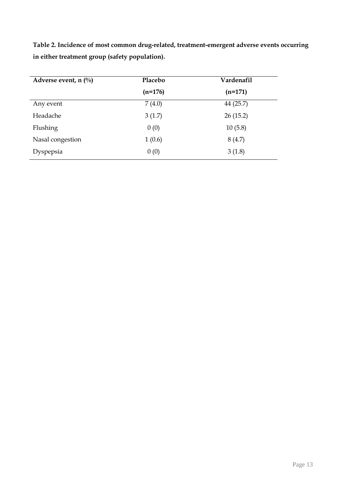**Table 2. Incidence of most common drug-related, treatment-emergent adverse events occurring in either treatment group (safety population).**

| Adverse event, n $(\%)$ | Placebo   | Vardenafil |
|-------------------------|-----------|------------|
|                         | $(n=176)$ | $(n=171)$  |
| Any event               | 7(4.0)    | 44 (25.7)  |
| Headache                | 3(1.7)    | 26(15.2)   |
| Flushing                | 0(0)      | 10(5.8)    |
| Nasal congestion        | 1(0.6)    | 8(4.7)     |
| Dyspepsia               | 0(0)      | 3(1.8)     |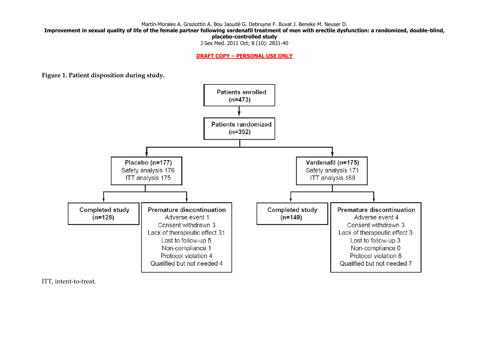Martín-Morales A. Graziottin A. Bou Jaoudé G. Debruyne F. Buvat J. Beneke M. Neuser D.

**Improvement in sexual quality of life of the female partner following vardenafil treatment of men with erectile dysfunction: a randomized, double-blind,** 

**placebo-controlled study**

J Sex Med. 2011 Oct; 8 (10): 2831-40

**DRAFT COPY – PERSONAL USE ONLY**

**Figure 1. Patient disposition during study.**



ITT, intent-to-treat.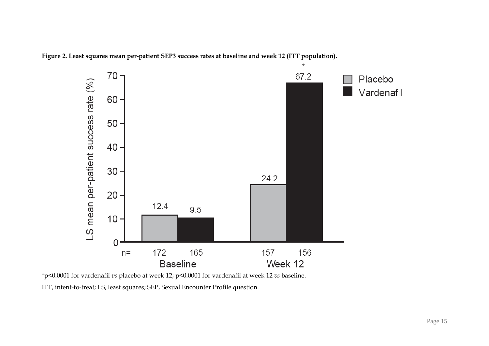**Figure 2. Least squares mean per-patient SEP3 success rates at baseline and week 12 (ITT population).**



\*p<0.0001 for vardenafil *vs* placebo at week 12; p<0.0001 for vardenafil at week 12 *vs* baseline.

ITT, intent-to-treat; LS, least squares; SEP, Sexual Encounter Profile question.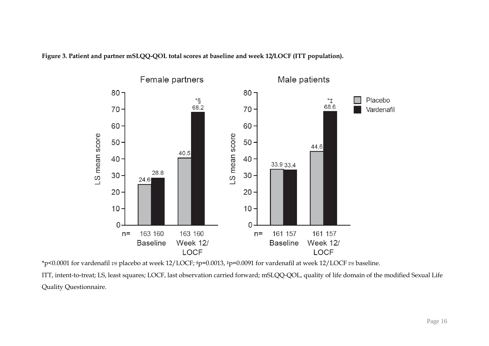**Figure 3. Patient and partner mSLQQ-QOL total scores at baseline and week 12/LOCF (ITT population).**



\*p<0.0001 for vardenafil *vs* placebo at week 12/LOCF; §p=0.0013, ‡p=0.0091 for vardenafil at week 12/LOCF *vs* baseline.

ITT, intent-to-treat; LS, least squares; LOCF, last observation carried forward; mSLQQ-QOL, quality of life domain of the modified Sexual Life Quality Questionnaire.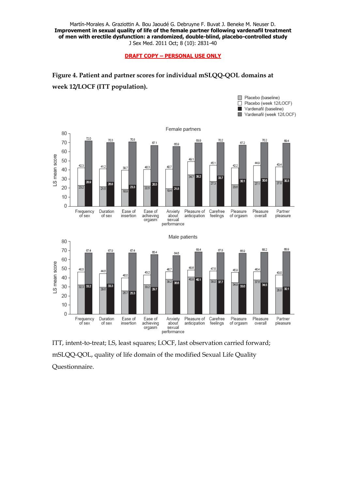Martín-Morales A. Graziottin A. Bou Jaoudé G. Debruyne F. Buvat J. Beneke M. Neuser D. **Improvement in sexual quality of life of the female partner following vardenafil treatment of men with erectile dysfunction: a randomized, double-blind, placebo-controlled study** J Sex Med. 2011 Oct; 8 (10): 2831-40

**DRAFT COPY – PERSONAL USE ONLY**





ITT, intent-to-treat; LS, least squares; LOCF, last observation carried forward; mSLQQ-QOL, quality of life domain of the modified Sexual Life Quality Questionnaire.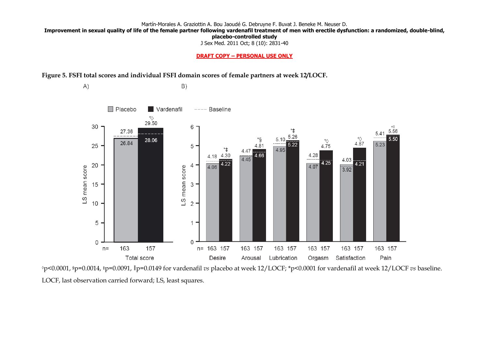Martín-Morales A. Graziottin A. Bou Jaoudé G. Debruyne F. Buvat J. Beneke M. Neuser D.

**Improvement in sexual quality of life of the female partner following vardenafil treatment of men with erectile dysfunction: a randomized, double-blind,** 

**placebo-controlled study**

J Sex Med. 2011 Oct; 8 (10): 2831-40

#### **DRAFT COPY – PERSONAL USE ONLY**

**Figure 5. FSFI total scores and individual FSFI domain scores of female partners at week 12/LOCF.**



◊p<0.0001, §p=0.0014, ‡p=0.0091, ║p=0.0149 for vardenafil *vs* placebo at week 12/LOCF; \*p<0.0001 for vardenafil at week 12/LOCF *vs* baseline. LOCF, last observation carried forward; LS, least squares.